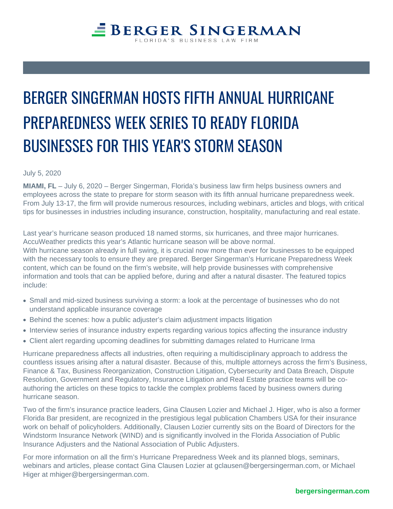# BERGER SINGERMAN HOSTS FIFT PREPAREDNESS WEEK SERIES TO BUSINESSES FOR THIS YEAR'S S

July 5, 2020

MIAMI, FL – July 6, 2020 – Berger Singerman, Florida's business law firm helps business owners and employees across the state to prepare for storm season with its fifth annual hurricane preparedness week. From July 13-17, the firm will provide numerous resources, including webinars, articles and blogs, with critical tips for businesses in industries including insurance, construction, hospitality, manufacturing and real estate.

Last year's hurricane season produced 18 named storms, six hurricanes, and three major hurricanes. AccuWeather predicts this year's Atlantic hurricane season will be above normal. With hurricane season already in full swing, it is crucial now more than ever for businesses to be equipped with the necessary tools to ensure they are prepared. Berger Singerman's Hurricane Preparedness Week content, which can be found on the firm's website, will help provide businesses with comprehensive information and tools that can be applied before, during and after a natural disaster. The featured topics include:

- Small and mid-sized business surviving a storm: a look at the percentage of businesses who do not understand applicable insurance coverage
- Behind the scenes: how a public adjuster's claim adjustment impacts litigation
- Interview series of insurance industry experts regarding various topics affecting the insurance industry
- Client alert regarding upcoming deadlines for submitting damages related to Hurricane Irma

Hurricane preparedness affects all industries, often requiring a multidisciplinary approach to address the countless issues arising after a natural disaster. Because of this, multiple attorneys across the firm's [Business,](https://www.bergersingerman.com/practice-teams/business-finance-tax-team)  [Finance & Tax,](https://www.bergersingerman.com/practice-teams/business-finance-tax-team) [Business Reorganization,](https://www.bergersingerman.com/practice-teams/business-reorganization-team) [Construction Litigation,](https://www.bergersingerman.com/practices/construction-litigation) [Cybersecurity and Data Breach,](https://www.bergersingerman.com/practices/cybersecurity-data-breach) [Dispute](https://www.bergersingerman.com/practice-teams/dispute-resolution-team)  [Resolution,](https://www.bergersingerman.com/practice-teams/dispute-resolution-team) [Government and Regulatory](https://www.bergersingerman.com/practice-teams/government-and-regulatory-team), [Insurance Litigation](https://www.bergersingerman.com/practices/insurance-litigation) and [Real Estate](https://www.bergersingerman.com/practices/real-estate) practice teams will be coauthoring the articles on these topics to tackle the complex problems faced by business owners during hurricane season.

Two of the firm's insurance practice leaders, [Gina Clausen Lozier](https://www.bergersingerman.com/team/gina-clausen-lozier) and [Michael J. Higer](https://www.bergersingerman.com/team/michael-j-higer), who is also a former Florida Bar president, are recognized in the prestigious legal publication Chambers USA for their insurance work on behalf of policyholders. Additionally, Clausen Lozier currently sits on the Board of Directors for the Windstorm Insurance Network (WIND) and is significantly involved in the Florida Association of Public Insurance Adjusters and the National Association of Public Adjusters.

For more information on all the firm's Hurricane Preparedness Week and its planned blogs, seminars, webinars and articles, please contact [Gina Clausen Lozier](https://www.bergersingerman.com/team/gina-clausen-lozier) at [gclausen@bergersingerman.com,](http://gclausen@bergersingerman.com) or Michael Higer at [mhiger@bergersingerman.com](http://mhiger@bergersingerman.com).